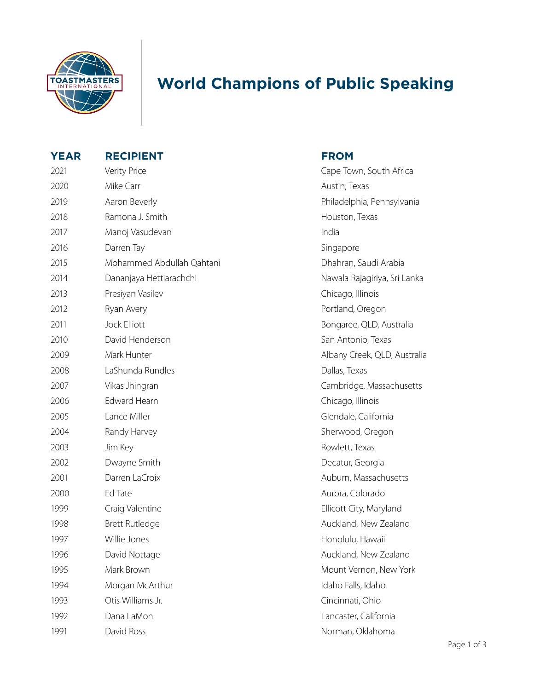

# **World Champions of Public Speaking**

| <b>YEAR</b> | <b>RECIPIENT</b>          | <b>FROM</b> |
|-------------|---------------------------|-------------|
| 2021        | Verity Price              | Cape To     |
| 2020        | Mike Carr                 | Austin, T   |
| 2019        | Aaron Beverly             | Philadelp   |
| 2018        | Ramona J. Smith           | Houston     |
| 2017        | Manoj Vasudevan           | India       |
| 2016        | Darren Tay                | Singapor    |
| 2015        | Mohammed Abdullah Qahtani | Dhahran     |
| 2014        | Dananjaya Hettiarachchi   | Nawala F    |
| 2013        | Presiyan Vasilev          | Chicago,    |
| 2012        | Ryan Avery                | Portland    |
| 2011        | <b>Jock Elliott</b>       | Bongare     |
| 2010        | David Henderson           | San Anto    |
| 2009        | Mark Hunter               | Albany C    |
| 2008        | LaShunda Rundles          | Dallas, Te  |
| 2007        | Vikas Jhingran            | Cambrid     |
| 2006        | Edward Hearn              | Chicago,    |
| 2005        | Lance Miller              | Glendale    |
| 2004        | Randy Harvey              | Sherwoo     |
| 2003        | Jim Key                   | Rowlett,    |
| 2002        | Dwayne Smith              | Decatur,    |
| 2001        | Darren LaCroix            | Auburn,     |
| 2000        | Ed Tate                   | Aurora, C   |
| 1999        | Craig Valentine           | Ellicott C  |
| 1998        | <b>Brett Rutledge</b>     | Auckland    |
| 1997        | Willie Jones              | Honolulu    |
| 1996        | David Nottage             | Auckland    |
| 1995        | Mark Brown                | Mount V     |
| 1994        | Morgan McArthur           | Idaho Fa    |
| 1993        | Otis Williams Jr.         | Cincinna    |
| 1992        | Dana LaMon                | Lancaste    |
| 1991        | David Ross                | Norman,     |

Cape Town, South Africa Austin, Texas Philadelphia, Pennsylvania Houston, Texas Singapore 2015 Mohammed Abdullah Qahtani Dhahran, Saudi Arabia Nawala Rajagiriya, Sri Lanka Chicago, Illinois Portland, Oregon Bongaree, QLD, Australia San Antonio, Texas Albany Creek, QLD, Australia Dallas, Texas Cambridge, Massachusetts Chicago, Illinois Glendale, California Sherwood, Oregon Rowlett, Texas Decatur, Georgia Auburn, Massachusetts Aurora, Colorado Ellicott City, Maryland Auckland, New Zealand Honolulu, Hawaii Auckland, New Zealand Mount Vernon, New York Idaho Falls, Idaho Cincinnati, Ohio Lancaster, California Norman, Oklahoma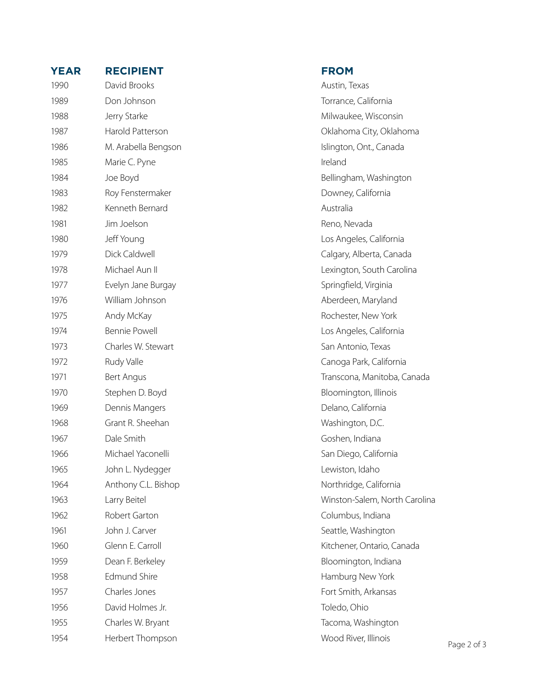| <b>YEAR</b> | <b>RECIPIENT</b>     | <b>FROM</b> |
|-------------|----------------------|-------------|
| 1990        | David Brooks         | Austin, T   |
| 1989        | Don Johnson          | Torrance    |
| 1988        | Jerry Starke         | Milwauk     |
| 1987        | Harold Patterson     | Oklahom     |
| 1986        | M. Arabella Bengson  | Islington   |
| 1985        | Marie C. Pyne        | Ireland     |
| 1984        | Joe Boyd             | Bellingha   |
| 1983        | Roy Fenstermaker     | Downey,     |
| 1982        | Kenneth Bernard      | Australia   |
| 1981        | Jim Joelson          | Reno, Ne    |
| 1980        | Jeff Young           | Los Ange    |
| 1979        | Dick Caldwell        | Calgary,    |
| 1978        | Michael Aun II       | Lexingto    |
| 1977        | Evelyn Jane Burgay   | Springfie   |
| 1976        | William Johnson      | Aberdee     |
| 1975        | Andy McKay           | Rocheste    |
| 1974        | <b>Bennie Powell</b> | Los Ange    |
| 1973        | Charles W. Stewart   | San Anto    |
| 1972        | Rudy Valle           | Canoga      |
| 1971        | Bert Angus           | Transcon    |
| 1970        | Stephen D. Boyd      | Bloomin     |
| 1969        | Dennis Mangers       | Delano,     |
| 1968        | Grant R. Sheehan     | Washing     |
| 1967        | Dale Smith           | Goshen,     |
| 1966        | Michael Yaconelli    | San Dieg    |
| 1965        | John L. Nydegger     | Lewistor    |
| 1964        | Anthony C.L. Bishop  | Northrid    |
| 1963        | Larry Beitel         | Winston     |
| 1962        | Robert Garton        | Columbu     |
| 1961        | John J. Carver       | Seattle, V  |
| 1960        | Glenn E. Carroll     | Kitchene    |
| 1959        | Dean F. Berkeley     | Bloomin     |
| 1958        | <b>Edmund Shire</b>  | Hambur      |
| 1957        | Charles Jones        | Fort Smi    |
| 1956        | David Holmes Jr.     | Toledo, C   |
| 1955        | Charles W. Bryant    | Tacoma,     |
| 1954        | Herbert Thompson     | Wood Ri     |

Austin, Texas Torrance, California Milwaukee, Wisconsin Oklahoma City, Oklahoma Islington, Ont., Canada Bellingham, Washington Downey, California Reno, Nevada Los Angeles, California Calgary, Alberta, Canada Lexington, South Carolina Springfield, Virginia Aberdeen, Maryland Rochester, New York Los Angeles, California San Antonio, Texas Canoga Park, California Transcona, Manitoba, Canada Bloomington, Illinois Delano, California Washington, D.C. Goshen, Indiana San Diego, California Lewiston, Idaho Northridge, California Winston-Salem, North Carolina Columbus, Indiana Seattle, Washington Kitchener, Ontario, Canada Bloomington, Indiana Hamburg New York Fort Smith, Arkansas Toledo, Ohio Tacoma, Washington Wood River, Illinois